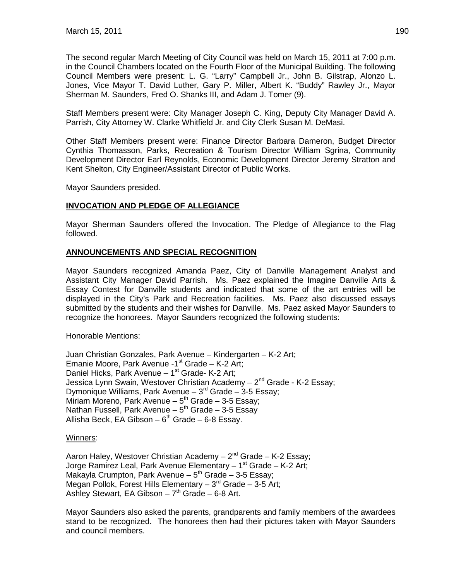The second regular March Meeting of City Council was held on March 15, 2011 at 7:00 p.m. in the Council Chambers located on the Fourth Floor of the Municipal Building. The following Council Members were present: L. G. "Larry" Campbell Jr., John B. Gilstrap, Alonzo L. Jones, Vice Mayor T. David Luther, Gary P. Miller, Albert K. "Buddy" Rawley Jr., Mayor Sherman M. Saunders, Fred O. Shanks III, and Adam J. Tomer (9).

Staff Members present were: City Manager Joseph C. King, Deputy City Manager David A. Parrish, City Attorney W. Clarke Whitfield Jr. and City Clerk Susan M. DeMasi.

Other Staff Members present were: Finance Director Barbara Dameron, Budget Director Cynthia Thomasson, Parks, Recreation & Tourism Director William Sgrina, Community Development Director Earl Reynolds, Economic Development Director Jeremy Stratton and Kent Shelton, City Engineer/Assistant Director of Public Works.

Mayor Saunders presided.

## **INVOCATION AND PLEDGE OF ALLEGIANCE**

Mayor Sherman Saunders offered the Invocation. The Pledge of Allegiance to the Flag followed.

## **ANNOUNCEMENTS AND SPECIAL RECOGNITION**

Mayor Saunders recognized Amanda Paez, City of Danville Management Analyst and Assistant City Manager David Parrish. Ms. Paez explained the Imagine Danville Arts & Essay Contest for Danville students and indicated that some of the art entries will be displayed in the City's Park and Recreation facilities. Ms. Paez also discussed essays submitted by the students and their wishes for Danville. Ms. Paez asked Mayor Saunders to recognize the honorees. Mayor Saunders recognized the following students:

#### Honorable Mentions:

Juan Christian Gonzales, Park Avenue – Kindergarten – K-2 Art; Emanie Moore, Park Avenue -1 $st$  Grade – K-2 Art; Daniel Hicks, Park Avenue  $-1$ <sup>st</sup> Grade- K-2 Art; Jessica Lynn Swain, Westover Christian Academy - 2<sup>nd</sup> Grade - K-2 Essav: Dymonique Williams, Park Avenue –  $3<sup>rd</sup>$  Grade – 3-5 Essay; Miriam Moreno, Park Avenue –  $5<sup>th</sup>$  Grade – 3-5 Essay; Nathan Fussell, Park Avenue –  $5<sup>th</sup>$  Grade – 3-5 Essay Allisha Beck, EA Gibson –  $6<sup>th</sup>$  Grade – 6-8 Essay.

#### Winners:

Aaron Haley, Westover Christian Academy  $-2^{nd}$  Grade  $-$  K-2 Essay; Jorge Ramirez Leal, Park Avenue Elementary  $-1<sup>st</sup>$  Grade  $-$  K-2 Art; Makayla Crumpton, Park Avenue –  $5<sup>th</sup>$  Grade – 3-5 Essay; Megan Pollok, Forest Hills Elementary  $-3^{rd}$  Grade  $-3-5$  Art; Ashley Stewart, EA Gibson  $-7<sup>th</sup>$  Grade  $-6-8$  Art.

Mayor Saunders also asked the parents, grandparents and family members of the awardees stand to be recognized. The honorees then had their pictures taken with Mayor Saunders and council members.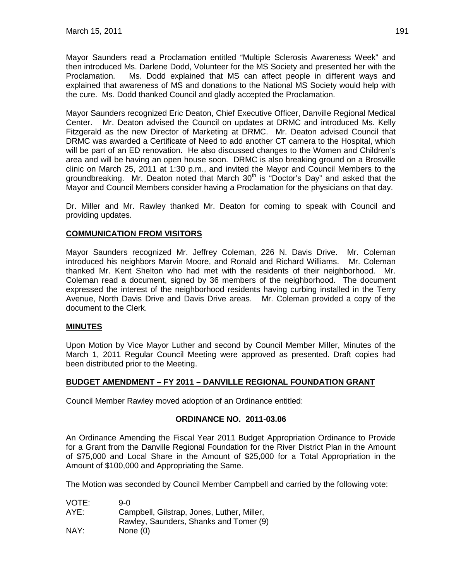Mayor Saunders read a Proclamation entitled "Multiple Sclerosis Awareness Week" and then introduced Ms. Darlene Dodd, Volunteer for the MS Society and presented her with the Proclamation. Ms. Dodd explained that MS can affect people in different ways and explained that awareness of MS and donations to the National MS Society would help with the cure. Ms. Dodd thanked Council and gladly accepted the Proclamation.

Mayor Saunders recognized Eric Deaton, Chief Executive Officer, Danville Regional Medical Center. Mr. Deaton advised the Council on updates at DRMC and introduced Ms. Kelly Fitzgerald as the new Director of Marketing at DRMC. Mr. Deaton advised Council that DRMC was awarded a Certificate of Need to add another CT camera to the Hospital, which will be part of an ED renovation. He also discussed changes to the Women and Children's area and will be having an open house soon. DRMC is also breaking ground on a Brosville clinic on March 25, 2011 at 1:30 p.m., and invited the Mayor and Council Members to the groundbreaking. Mr. Deaton noted that March  $30<sup>th</sup>$  is "Doctor's Day" and asked that the Mayor and Council Members consider having a Proclamation for the physicians on that day.

Dr. Miller and Mr. Rawley thanked Mr. Deaton for coming to speak with Council and providing updates.

## **COMMUNICATION FROM VISITORS**

Mayor Saunders recognized Mr. Jeffrey Coleman, 226 N. Davis Drive. Mr. Coleman introduced his neighbors Marvin Moore, and Ronald and Richard Williams. Mr. Coleman thanked Mr. Kent Shelton who had met with the residents of their neighborhood. Mr. Coleman read a document, signed by 36 members of the neighborhood. The document expressed the interest of the neighborhood residents having curbing installed in the Terry Avenue, North Davis Drive and Davis Drive areas. Mr. Coleman provided a copy of the document to the Clerk.

#### **MINUTES**

Upon Motion by Vice Mayor Luther and second by Council Member Miller, Minutes of the March 1, 2011 Regular Council Meeting were approved as presented. Draft copies had been distributed prior to the Meeting.

#### **BUDGET AMENDMENT – FY 2011 – DANVILLE REGIONAL FOUNDATION GRANT**

Council Member Rawley moved adoption of an Ordinance entitled:

#### **ORDINANCE NO. 2011-03.06**

An Ordinance Amending the Fiscal Year 2011 Budget Appropriation Ordinance to Provide for a Grant from the Danville Regional Foundation for the River District Plan in the Amount of \$75,000 and Local Share in the Amount of \$25,000 for a Total Appropriation in the Amount of \$100,000 and Appropriating the Same.

The Motion was seconded by Council Member Campbell and carried by the following vote:

| VOTE: | 9-0.                                       |
|-------|--------------------------------------------|
| AYE:  | Campbell, Gilstrap, Jones, Luther, Miller, |
|       | Rawley, Saunders, Shanks and Tomer (9)     |
| NAY:  | None $(0)$                                 |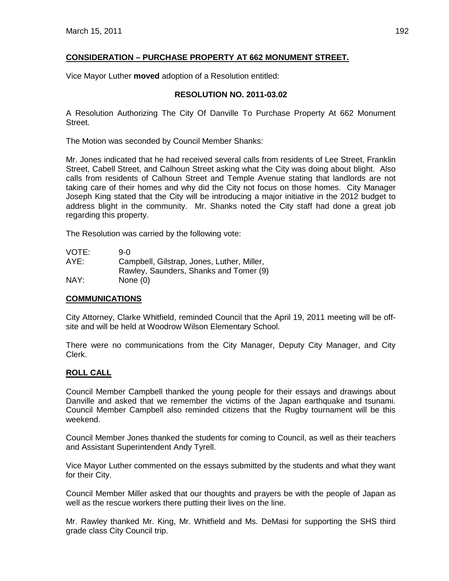# **CONSIDERATION – PURCHASE PROPERTY AT 662 MONUMENT STREET.**

Vice Mayor Luther **moved** adoption of a Resolution entitled:

# **RESOLUTION NO. 2011-03.02**

A Resolution Authorizing The City Of Danville To Purchase Property At 662 Monument Street.

The Motion was seconded by Council Member Shanks:

Mr. Jones indicated that he had received several calls from residents of Lee Street, Franklin Street, Cabell Street, and Calhoun Street asking what the City was doing about blight. Also calls from residents of Calhoun Street and Temple Avenue stating that landlords are not taking care of their homes and why did the City not focus on those homes. City Manager Joseph King stated that the City will be introducing a major initiative in the 2012 budget to address blight in the community. Mr. Shanks noted the City staff had done a great job regarding this property.

The Resolution was carried by the following vote:

| VOTE: | 9-0.                                       |
|-------|--------------------------------------------|
| AYE:  | Campbell, Gilstrap, Jones, Luther, Miller, |
|       | Rawley, Saunders, Shanks and Tomer (9)     |
| NAY:  | None $(0)$                                 |

#### **COMMUNICATIONS**

City Attorney, Clarke Whitfield, reminded Council that the April 19, 2011 meeting will be offsite and will be held at Woodrow Wilson Elementary School.

There were no communications from the City Manager, Deputy City Manager, and City Clerk.

# **ROLL CALL**

Council Member Campbell thanked the young people for their essays and drawings about Danville and asked that we remember the victims of the Japan earthquake and tsunami. Council Member Campbell also reminded citizens that the Rugby tournament will be this weekend.

Council Member Jones thanked the students for coming to Council, as well as their teachers and Assistant Superintendent Andy Tyrell.

Vice Mayor Luther commented on the essays submitted by the students and what they want for their City.

Council Member Miller asked that our thoughts and prayers be with the people of Japan as well as the rescue workers there putting their lives on the line.

Mr. Rawley thanked Mr. King, Mr. Whitfield and Ms. DeMasi for supporting the SHS third grade class City Council trip.